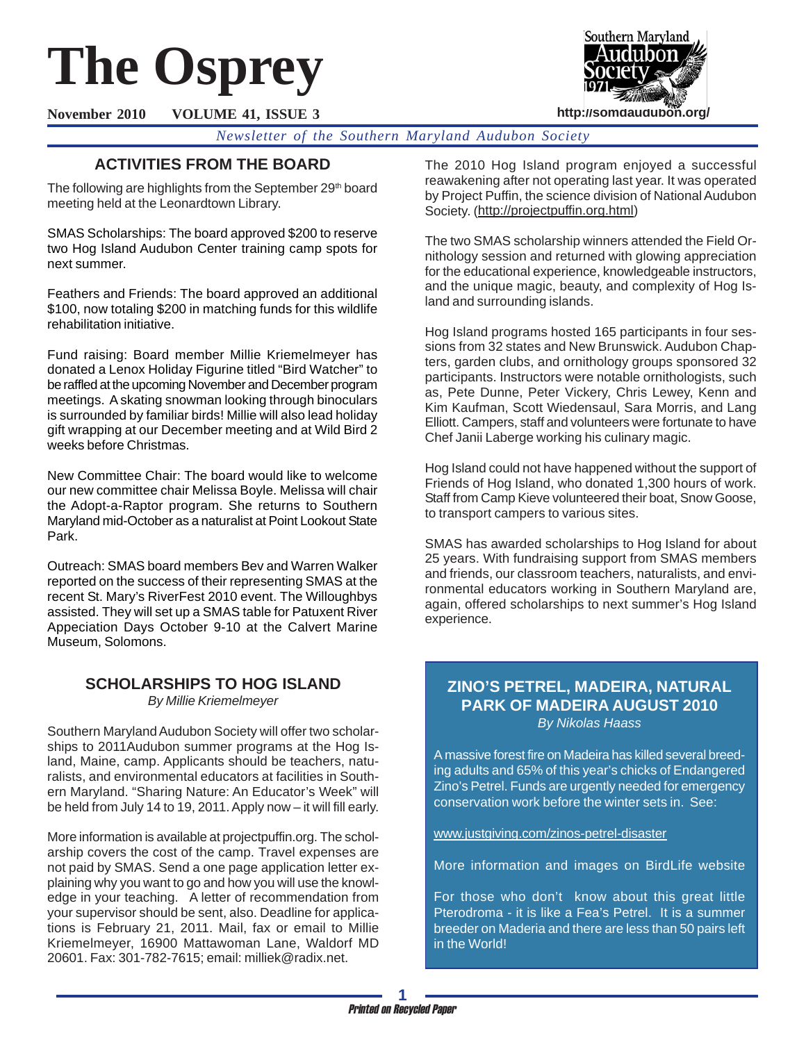# **The Osprey**



**November 2010 VOLUME 41, ISSUE 3**

*Newsletter of the Southern Maryland Audubon Society*

# **ACTIVITIES FROM THE BOARD**

The following are highlights from the September 29<sup>th</sup> board meeting held at the Leonardtown Library.

SMAS Scholarships: The board approved \$200 to reserve two Hog Island Audubon Center training camp spots for next summer.

Feathers and Friends: The board approved an additional \$100, now totaling \$200 in matching funds for this wildlife rehabilitation initiative.

Fund raising: Board member Millie Kriemelmeyer has donated a Lenox Holiday Figurine titled "Bird Watcher" to be raffled at the upcoming November and December program meetings. A skating snowman looking through binoculars is surrounded by familiar birds! Millie will also lead holiday gift wrapping at our December meeting and at Wild Bird 2 weeks before Christmas.

New Committee Chair: The board would like to welcome our new committee chair Melissa Boyle. Melissa will chair the Adopt-a-Raptor program. She returns to Southern Maryland mid-October as a naturalist at Point Lookout State Park.

Outreach: SMAS board members Bev and Warren Walker reported on the success of their representing SMAS at the recent St. Mary's RiverFest 2010 event. The Willoughbys assisted. They will set up a SMAS table for Patuxent River Appeciation Days October 9-10 at the Calvert Marine Museum, Solomons.

# **SCHOLARSHIPS TO HOG ISLAND** *By Millie Kriemelmeyer*

Southern Maryland Audubon Society will offer two scholarships to 2011Audubon summer programs at the Hog Island, Maine, camp. Applicants should be teachers, naturalists, and environmental educators at facilities in Southern Maryland. "Sharing Nature: An Educator's Week" will be held from July 14 to 19, 2011. Apply now – it will fill early.

More information is available at projectpuffin.org. The scholarship covers the cost of the camp. Travel expenses are not paid by SMAS. Send a one page application letter explaining why you want to go and how you will use the knowledge in your teaching. A letter of recommendation from your supervisor should be sent, also. Deadline for applications is February 21, 2011. Mail, fax or email to Millie Kriemelmeyer, 16900 Mattawoman Lane, Waldorf MD 20601. Fax: 301-782-7615; email: milliek@radix.net.

The 2010 Hog Island program enjoyed a successful reawakening after not operating last year. It was operated by Project Puffin, the science division of National Audubon Society. (http://projectpuffin.org.html)

The two SMAS scholarship winners attended the Field Ornithology session and returned with glowing appreciation for the educational experience, knowledgeable instructors, and the unique magic, beauty, and complexity of Hog Island and surrounding islands.

Hog Island programs hosted 165 participants in four sessions from 32 states and New Brunswick. Audubon Chapters, garden clubs, and ornithology groups sponsored 32 participants. Instructors were notable ornithologists, such as, Pete Dunne, Peter Vickery, Chris Lewey, Kenn and Kim Kaufman, Scott Wiedensaul, Sara Morris, and Lang Elliott. Campers, staff and volunteers were fortunate to have Chef Janii Laberge working his culinary magic.

Hog Island could not have happened without the support of Friends of Hog Island, who donated 1,300 hours of work. Staff from Camp Kieve volunteered their boat, Snow Goose, to transport campers to various sites.

SMAS has awarded scholarships to Hog Island for about 25 years. With fundraising support from SMAS members and friends, our classroom teachers, naturalists, and environmental educators working in Southern Maryland are, again, offered scholarships to next summer's Hog Island experience.

# **ZINO'S PETREL, MADEIRA, NATURAL PARK OF MADEIRA AUGUST 2010**

*By Nikolas Haass*

A massive forest fire on Madeira has killed several breeding adults and 65% of this year's chicks of Endangered Zino's Petrel. Funds are urgently needed for emergency conservation work before the winter sets in. See:

www.justgiving.com/zinos-petrel-disaster

More information and images on BirdLife website

For those who don't know about this great little Pterodroma - it is like a Fea's Petrel. It is a summer breeder on Maderia and there are less than 50 pairs left in the World!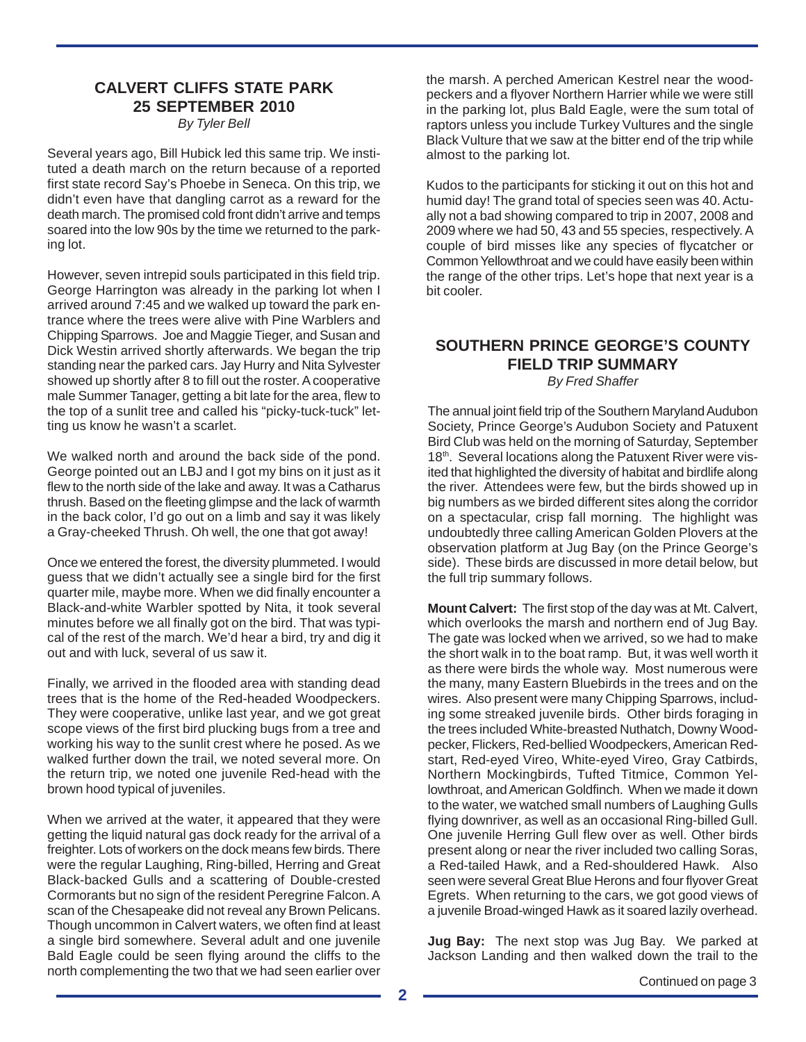# **CALVERT CLIFFS STATE PARK 25 SEPTEMBER 2010**

*By Tyler Bell*

Several years ago, Bill Hubick led this same trip. We instituted a death march on the return because of a reported first state record Say's Phoebe in Seneca. On this trip, we didn't even have that dangling carrot as a reward for the death march. The promised cold front didn't arrive and temps soared into the low 90s by the time we returned to the parking lot.

However, seven intrepid souls participated in this field trip. George Harrington was already in the parking lot when I arrived around 7:45 and we walked up toward the park entrance where the trees were alive with Pine Warblers and Chipping Sparrows. Joe and Maggie Tieger, and Susan and Dick Westin arrived shortly afterwards. We began the trip standing near the parked cars. Jay Hurry and Nita Sylvester showed up shortly after 8 to fill out the roster. A cooperative male Summer Tanager, getting a bit late for the area, flew to the top of a sunlit tree and called his "picky-tuck-tuck" letting us know he wasn't a scarlet.

We walked north and around the back side of the pond. George pointed out an LBJ and I got my bins on it just as it flew to the north side of the lake and away. It was a Catharus thrush. Based on the fleeting glimpse and the lack of warmth in the back color, I'd go out on a limb and say it was likely a Gray-cheeked Thrush. Oh well, the one that got away!

Once we entered the forest, the diversity plummeted. I would guess that we didn't actually see a single bird for the first quarter mile, maybe more. When we did finally encounter a Black-and-white Warbler spotted by Nita, it took several minutes before we all finally got on the bird. That was typical of the rest of the march. We'd hear a bird, try and dig it out and with luck, several of us saw it.

Finally, we arrived in the flooded area with standing dead trees that is the home of the Red-headed Woodpeckers. They were cooperative, unlike last year, and we got great scope views of the first bird plucking bugs from a tree and working his way to the sunlit crest where he posed. As we walked further down the trail, we noted several more. On the return trip, we noted one juvenile Red-head with the brown hood typical of juveniles.

When we arrived at the water, it appeared that they were getting the liquid natural gas dock ready for the arrival of a freighter. Lots of workers on the dock means few birds. There were the regular Laughing, Ring-billed, Herring and Great Black-backed Gulls and a scattering of Double-crested Cormorants but no sign of the resident Peregrine Falcon. A scan of the Chesapeake did not reveal any Brown Pelicans. Though uncommon in Calvert waters, we often find at least a single bird somewhere. Several adult and one juvenile Bald Eagle could be seen flying around the cliffs to the north complementing the two that we had seen earlier over

the marsh. A perched American Kestrel near the woodpeckers and a flyover Northern Harrier while we were still in the parking lot, plus Bald Eagle, were the sum total of raptors unless you include Turkey Vultures and the single Black Vulture that we saw at the bitter end of the trip while almost to the parking lot.

Kudos to the participants for sticking it out on this hot and humid day! The grand total of species seen was 40. Actually not a bad showing compared to trip in 2007, 2008 and 2009 where we had 50, 43 and 55 species, respectively. A couple of bird misses like any species of flycatcher or Common Yellowthroat and we could have easily been within the range of the other trips. Let's hope that next year is a bit cooler.

# **SOUTHERN PRINCE GEORGE'S COUNTY FIELD TRIP SUMMARY**

*By Fred Shaffer*

The annual joint field trip of the Southern Maryland Audubon Society, Prince George's Audubon Society and Patuxent Bird Club was held on the morning of Saturday, September 18<sup>th</sup>. Several locations along the Patuxent River were visited that highlighted the diversity of habitat and birdlife along the river. Attendees were few, but the birds showed up in big numbers as we birded different sites along the corridor on a spectacular, crisp fall morning. The highlight was undoubtedly three calling American Golden Plovers at the observation platform at Jug Bay (on the Prince George's side). These birds are discussed in more detail below, but the full trip summary follows.

**Mount Calvert:** The first stop of the day was at Mt. Calvert, which overlooks the marsh and northern end of Jug Bay. The gate was locked when we arrived, so we had to make the short walk in to the boat ramp. But, it was well worth it as there were birds the whole way. Most numerous were the many, many Eastern Bluebirds in the trees and on the wires. Also present were many Chipping Sparrows, including some streaked juvenile birds. Other birds foraging in the trees included White-breasted Nuthatch, Downy Woodpecker, Flickers, Red-bellied Woodpeckers, American Redstart, Red-eyed Vireo, White-eyed Vireo, Gray Catbirds, Northern Mockingbirds, Tufted Titmice, Common Yellowthroat, and American Goldfinch. When we made it down to the water, we watched small numbers of Laughing Gulls flying downriver, as well as an occasional Ring-billed Gull. One juvenile Herring Gull flew over as well. Other birds present along or near the river included two calling Soras, a Red-tailed Hawk, and a Red-shouldered Hawk. Also seen were several Great Blue Herons and four flyover Great Egrets. When returning to the cars, we got good views of a juvenile Broad-winged Hawk as it soared lazily overhead.

**Jug Bay:** The next stop was Jug Bay. We parked at Jackson Landing and then walked down the trail to the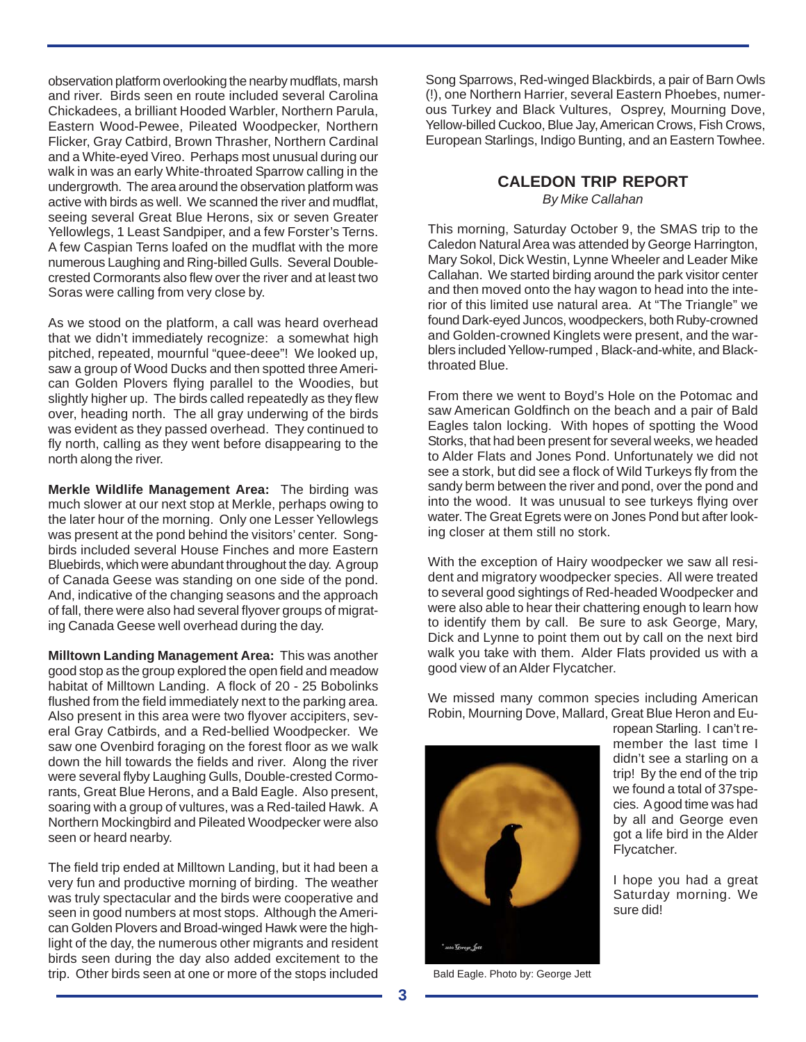observation platform overlooking the nearby mudflats, marsh and river. Birds seen en route included several Carolina Chickadees, a brilliant Hooded Warbler, Northern Parula, Eastern Wood-Pewee, Pileated Woodpecker, Northern Flicker, Gray Catbird, Brown Thrasher, Northern Cardinal and a White-eyed Vireo. Perhaps most unusual during our walk in was an early White-throated Sparrow calling in the undergrowth. The area around the observation platform was active with birds as well. We scanned the river and mudflat, seeing several Great Blue Herons, six or seven Greater Yellowlegs, 1 Least Sandpiper, and a few Forster's Terns. A few Caspian Terns loafed on the mudflat with the more numerous Laughing and Ring-billed Gulls. Several Doublecrested Cormorants also flew over the river and at least two Soras were calling from very close by.

As we stood on the platform, a call was heard overhead that we didn't immediately recognize: a somewhat high pitched, repeated, mournful "quee-deee"! We looked up, saw a group of Wood Ducks and then spotted three American Golden Plovers flying parallel to the Woodies, but slightly higher up. The birds called repeatedly as they flew over, heading north. The all gray underwing of the birds was evident as they passed overhead. They continued to fly north, calling as they went before disappearing to the north along the river.

**Merkle Wildlife Management Area:** The birding was much slower at our next stop at Merkle, perhaps owing to the later hour of the morning. Only one Lesser Yellowlegs was present at the pond behind the visitors' center. Songbirds included several House Finches and more Eastern Bluebirds, which were abundant throughout the day. A group of Canada Geese was standing on one side of the pond. And, indicative of the changing seasons and the approach of fall, there were also had several flyover groups of migrating Canada Geese well overhead during the day.

**Milltown Landing Management Area:** This was another good stop as the group explored the open field and meadow habitat of Milltown Landing. A flock of 20 - 25 Bobolinks flushed from the field immediately next to the parking area. Also present in this area were two flyover accipiters, several Gray Catbirds, and a Red-bellied Woodpecker. We saw one Ovenbird foraging on the forest floor as we walk down the hill towards the fields and river. Along the river were several flyby Laughing Gulls, Double-crested Cormorants, Great Blue Herons, and a Bald Eagle. Also present, soaring with a group of vultures, was a Red-tailed Hawk. A Northern Mockingbird and Pileated Woodpecker were also seen or heard nearby.

The field trip ended at Milltown Landing, but it had been a very fun and productive morning of birding. The weather was truly spectacular and the birds were cooperative and seen in good numbers at most stops. Although the American Golden Plovers and Broad-winged Hawk were the highlight of the day, the numerous other migrants and resident birds seen during the day also added excitement to the trip. Other birds seen at one or more of the stops included Bald Eagle. Photo by: George Jett

Song Sparrows, Red-winged Blackbirds, a pair of Barn Owls (!), one Northern Harrier, several Eastern Phoebes, numerous Turkey and Black Vultures, Osprey, Mourning Dove, Yellow-billed Cuckoo, Blue Jay, American Crows, Fish Crows, European Starlings, Indigo Bunting, and an Eastern Towhee.

## **CALEDON TRIP REPORT** *By Mike Callahan*

This morning, Saturday October 9, the SMAS trip to the Caledon Natural Area was attended by George Harrington, Mary Sokol, Dick Westin, Lynne Wheeler and Leader Mike Callahan. We started birding around the park visitor center and then moved onto the hay wagon to head into the interior of this limited use natural area. At "The Triangle" we found Dark-eyed Juncos, woodpeckers, both Ruby-crowned and Golden-crowned Kinglets were present, and the warblers included Yellow-rumped , Black-and-white, and Blackthroated Blue.

From there we went to Boyd's Hole on the Potomac and saw American Goldfinch on the beach and a pair of Bald Eagles talon locking. With hopes of spotting the Wood Storks, that had been present for several weeks, we headed to Alder Flats and Jones Pond. Unfortunately we did not see a stork, but did see a flock of Wild Turkeys fly from the sandy berm between the river and pond, over the pond and into the wood. It was unusual to see turkeys flying over water. The Great Egrets were on Jones Pond but after looking closer at them still no stork.

With the exception of Hairy woodpecker we saw all resident and migratory woodpecker species. All were treated to several good sightings of Red-headed Woodpecker and were also able to hear their chattering enough to learn how to identify them by call. Be sure to ask George, Mary, Dick and Lynne to point them out by call on the next bird walk you take with them. Alder Flats provided us with a good view of an Alder Flycatcher.

We missed many common species including American Robin, Mourning Dove, Mallard, Great Blue Heron and Eu-



ropean Starling. I can't remember the last time I didn't see a starling on a trip! By the end of the trip we found a total of 37species. A good time was had by all and George even got a life bird in the Alder Flycatcher.

I hope you had a great Saturday morning. We

sure did!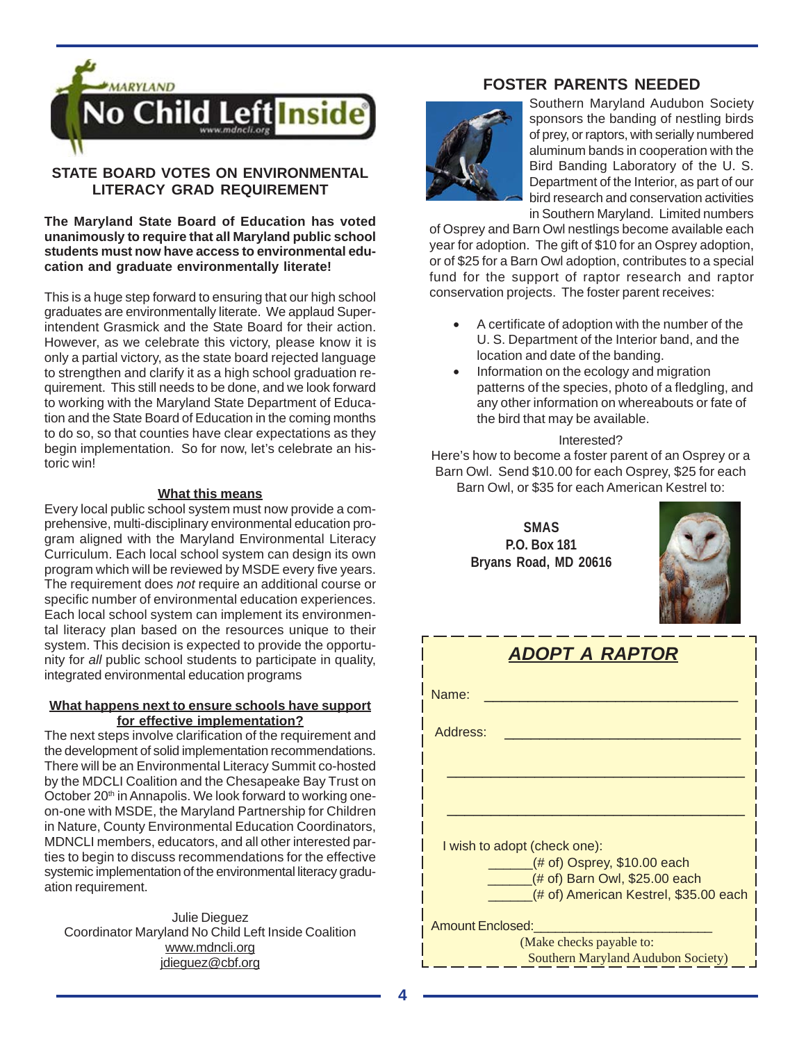

# **STATE BOARD VOTES ON ENVIRONMENTAL LITERACY GRAD REQUIREMENT**

**The Maryland State Board of Education has voted unanimously to require that all Maryland public school students must now have access to environmental education and graduate environmentally literate!**

This is a huge step forward to ensuring that our high school graduates are environmentally literate. We applaud Superintendent Grasmick and the State Board for their action. However, as we celebrate this victory, please know it is only a partial victory, as the state board rejected language to strengthen and clarify it as a high school graduation requirement. This still needs to be done, and we look forward to working with the Maryland State Department of Education and the State Board of Education in the coming months to do so, so that counties have clear expectations as they begin implementation. So for now, let's celebrate an historic win!

#### **What this means**

Every local public school system must now provide a comprehensive, multi-disciplinary environmental education program aligned with the Maryland Environmental Literacy Curriculum. Each local school system can design its own program which will be reviewed by MSDE every five years. The requirement does *not* require an additional course or specific number of environmental education experiences. Each local school system can implement its environmental literacy plan based on the resources unique to their system. This decision is expected to provide the opportunity for *all* public school students to participate in quality, integrated environmental education programs

#### **What happens next to ensure schools have support for effective implementation?**

The next steps involve clarification of the requirement and the development of solid implementation recommendations. There will be an Environmental Literacy Summit co-hosted by the MDCLI Coalition and the Chesapeake Bay Trust on October 20<sup>th</sup> in Annapolis. We look forward to working oneon-one with MSDE, the Maryland Partnership for Children in Nature, County Environmental Education Coordinators, MDNCLI members, educators, and all other interested parties to begin to discuss recommendations for the effective systemic implementation of the environmental literacy graduation requirement.

Julie Dieguez Coordinator Maryland No Child Left Inside Coalition www.mdncli.org jdieguez@cbf.org

## **FOSTER PARENTS NEEDED**



Southern Maryland Audubon Society sponsors the banding of nestling birds of prey, or raptors, with serially numbered aluminum bands in cooperation with the Bird Banding Laboratory of the U. S. Department of the Interior, as part of our bird research and conservation activities in Southern Maryland. Limited numbers

of Osprey and Barn Owl nestlings become available each year for adoption. The gift of \$10 for an Osprey adoption, or of \$25 for a Barn Owl adoption, contributes to a special fund for the support of raptor research and raptor conservation projects. The foster parent receives:

- A certificate of adoption with the number of the U. S. Department of the Interior band, and the location and date of the banding.
- Information on the ecology and migration patterns of the species, photo of a fledgling, and any other information on whereabouts or fate of the bird that may be available.

#### Interested?

Here's how to become a foster parent of an Osprey or a Barn Owl. Send \$10.00 for each Osprey, \$25 for each Barn Owl, or \$35 for each American Kestrel to:

> **SMAS P.O. Box 181 Bryans Road, MD 20616**



| <b>ADOPT A RAPTOR</b>                 |  |  |  |  |  |  |  |
|---------------------------------------|--|--|--|--|--|--|--|
| Name:                                 |  |  |  |  |  |  |  |
| Address:                              |  |  |  |  |  |  |  |
|                                       |  |  |  |  |  |  |  |
|                                       |  |  |  |  |  |  |  |
| I wish to adopt (check one):          |  |  |  |  |  |  |  |
| $($ # of) Osprey, \$10.00 each        |  |  |  |  |  |  |  |
| (# of) Barn Owl, \$25.00 each         |  |  |  |  |  |  |  |
| (# of) American Kestrel, \$35.00 each |  |  |  |  |  |  |  |
| <b>Amount Enclosed:</b>               |  |  |  |  |  |  |  |
| (Make checks payable to:              |  |  |  |  |  |  |  |
| Southern Maryland Audubon Society)    |  |  |  |  |  |  |  |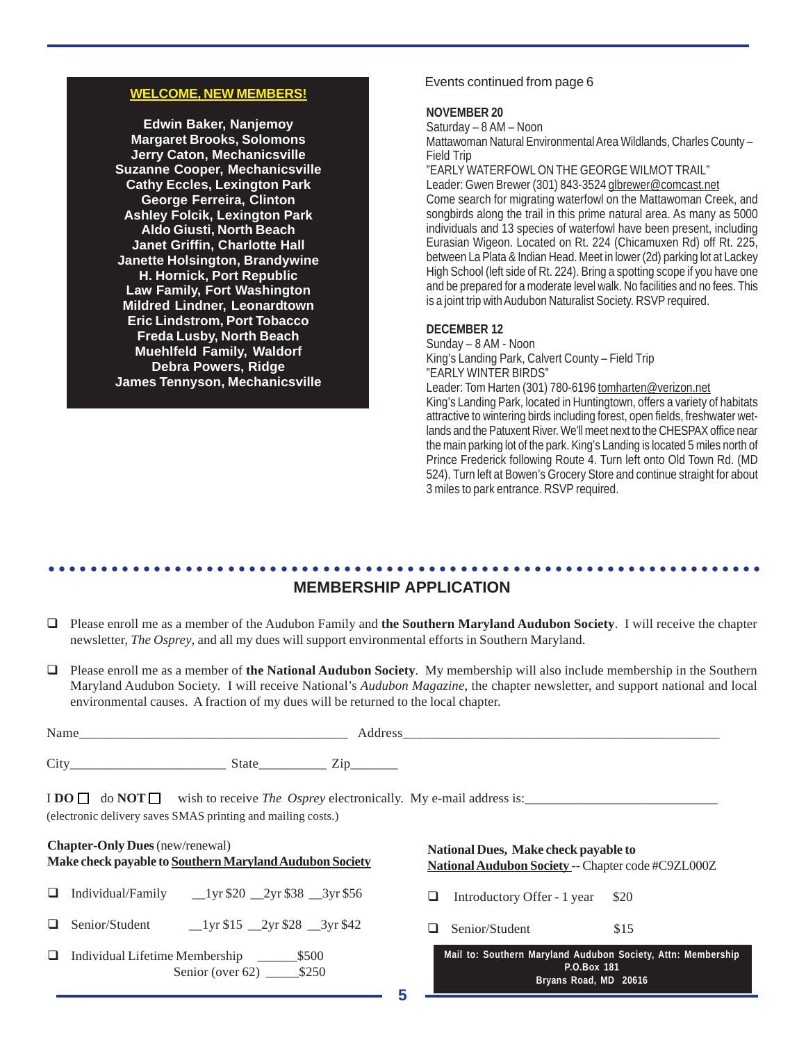#### **WELCOME, NEW MEMBERS!**

**Edwin Baker, Nanjemoy Margaret Brooks, Solomons Jerry Caton, Mechanicsville Suzanne Cooper, Mechanicsville Cathy Eccles, Lexington Park George Ferreira, Clinton Ashley Folcik, Lexington Park Aldo Giusti, North Beach Janet Griffin, Charlotte Hall Janette Holsington, Brandywine H. Hornick, Port Republic Law Family, Fort Washington Mildred Lindner, Leonardtown Eric Lindstrom, Port Tobacco Freda Lusby, North Beach Muehlfeld Family, Waldorf Debra Powers, Ridge James Tennyson, Mechanicsville**

#### Events continued from page 6

#### **NOVEMBER 20**

Saturday – 8 AM – Noon

Mattawoman Natural Environmental Area Wildlands, Charles County – Field Trip

"EARLY WATERFOWL ON THE GEORGE WILMOT TRAIL"

Leader: Gwen Brewer (301) 843-3524 glbrewer@comcast.net Come search for migrating waterfowl on the Mattawoman Creek, and songbirds along the trail in this prime natural area. As many as 5000 individuals and 13 species of waterfowl have been present, including Eurasian Wigeon. Located on Rt. 224 (Chicamuxen Rd) off Rt. 225, between La Plata & Indian Head. Meet in lower (2d) parking lot at Lackey High School (left side of Rt. 224). Bring a spotting scope if you have one and be prepared for a moderate level walk. No facilities and no fees. This is a joint trip with Audubon Naturalist Society. RSVP required.

#### **DECEMBER 12**

Sunday – 8 AM - Noon King's Landing Park, Calvert County – Field Trip "EARLY WINTER BIRDS" Leader: Tom Harten (301) 780-6196 tomharten@verizon.net King's Landing Park, located in Huntingtown, offers a variety of habitats attractive to wintering birds including forest, open fields, freshwater wetlands and the Patuxent River. We'll meet next to the CHESPAX office near the main parking lot of the park. King's Landing is located 5 miles north of Prince Frederick following Route 4. Turn left onto Old Town Rd. (MD 524). Turn left at Bowen's Grocery Store and continue straight for about 3 miles to park entrance. RSVP required.

#### ○○○○○○○○○○○○○○○○○○○○○○○○○○○○○○○○○○○○○○○○○○○○ ○○○○○○○○○○○○○○○○○○○○○○○○ **MEMBERSHIP APPLICATION**

- Please enroll me as a member of the Audubon Family and **the Southern Maryland Audubon Society**. I will receive the chapter newsletter, *The Osprey*, and all my dues will support environmental efforts in Southern Maryland.
- Please enroll me as a member of **the National Audubon Society**. My membership will also include membership in the Southern Maryland Audubon Society. I will receive National's *Audubon Magazine*, the chapter newsletter, and support national and local environmental causes. A fraction of my dues will be returned to the local chapter.

|                                        | (electronic delivery saves SMAS printing and mailing costs.)        | $\text{I} \text{DO} \square$ do $\text{NOT} \square$ wish to receive <i>The Osprey</i> electronically. My e-mail address is: |
|----------------------------------------|---------------------------------------------------------------------|------------------------------------------------------------------------------------------------------------------------------|
| <b>Chapter-Only Dues</b> (new/renewal) | Make check payable to Southern Maryland Audubon Society             | National Dues, Make check payable to<br>National Audubon Society -- Chapter code #C9ZL000Z                                   |
| $\Box$                                 | Individual/Family $_{20}$ $_{2yr}$ \$20 $_{2yr}$ \$38 $_{3yr}$ \$56 | Introductory Offer - 1 year \$20                                                                                             |

- $\Box$  Senior/Student  $\Box$ 1yr \$15  $\Box$ 2yr \$28  $\Box$ 3yr \$42
- Individual Lifetime Membership \_\_\_\_\_\_\$500 Senior (over 62) \_\_\_\_\_\_ \$250

 $\Box$  Senior/Student \$15

|             |  |  |                       |  |  |  |  | Mail to: Southern Maryland Audubon Society, Attn: Membership |  |  |
|-------------|--|--|-----------------------|--|--|--|--|--------------------------------------------------------------|--|--|
| P.O.Box 181 |  |  |                       |  |  |  |  |                                                              |  |  |
|             |  |  | Bryans Road, MD 20616 |  |  |  |  |                                                              |  |  |